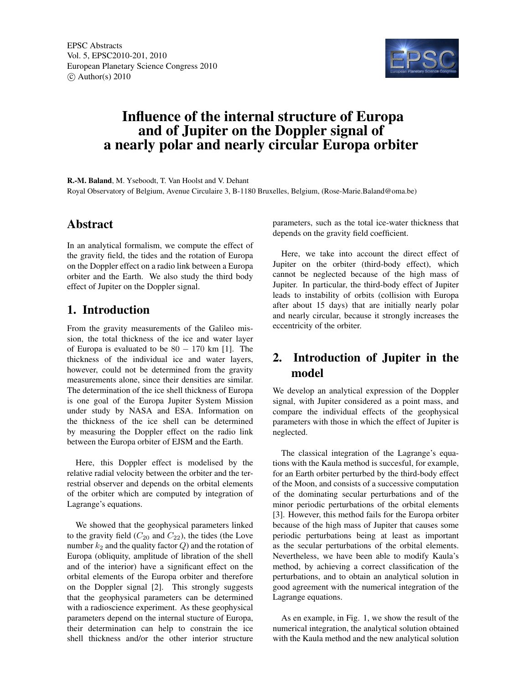

# Influence of the internal structure of Europa and of Jupiter on the Doppler signal of a nearly polar and nearly circular Europa orbiter

R.-M. Baland, M. Yseboodt, T. Van Hoolst and V. Dehant Royal Observatory of Belgium, Avenue Circulaire 3, B-1180 Bruxelles, Belgium, (Rose-Marie.Baland@oma.be)

### Abstract

In an analytical formalism, we compute the effect of the gravity field, the tides and the rotation of Europa on the Doppler effect on a radio link between a Europa orbiter and the Earth. We also study the third body effect of Jupiter on the Doppler signal.

## 1. Introduction

From the gravity measurements of the Galileo mission, the total thickness of the ice and water layer of Europa is evaluated to be  $80 - 170$  km [1]. The thickness of the individual ice and water layers, however, could not be determined from the gravity measurements alone, since their densities are similar. The determination of the ice shell thickness of Europa is one goal of the Europa Jupiter System Mission under study by NASA and ESA. Information on the thickness of the ice shell can be determined by measuring the Doppler effect on the radio link between the Europa orbiter of EJSM and the Earth.

Here, this Doppler effect is modelised by the relative radial velocity between the orbiter and the terrestrial observer and depends on the orbital elements of the orbiter which are computed by integration of Lagrange's equations.

We showed that the geophysical parameters linked to the gravity field  $(C_{20}$  and  $C_{22}$ ), the tides (the Love number  $k_2$  and the quality factor  $Q$ ) and the rotation of Europa (obliquity, amplitude of libration of the shell and of the interior) have a significant effect on the orbital elements of the Europa orbiter and therefore on the Doppler signal [2]. This strongly suggests that the geophysical parameters can be determined with a radioscience experiment. As these geophysical parameters depend on the internal stucture of Europa, their determination can help to constrain the ice shell thickness and/or the other interior structure parameters, such as the total ice-water thickness that depends on the gravity field coefficient.

Here, we take into account the direct effect of Jupiter on the orbiter (third-body effect), which cannot be neglected because of the high mass of Jupiter. In particular, the third-body effect of Jupiter leads to instability of orbits (collision with Europa after about 15 days) that are initially nearly polar and nearly circular, because it strongly increases the eccentricity of the orbiter.

## 2. Introduction of Jupiter in the model

We develop an analytical expression of the Doppler signal, with Jupiter considered as a point mass, and compare the individual effects of the geophysical parameters with those in which the effect of Jupiter is neglected.

The classical integration of the Lagrange's equations with the Kaula method is succesful, for example, for an Earth orbiter perturbed by the third-body effect of the Moon, and consists of a successive computation of the dominating secular perturbations and of the minor periodic perturbations of the orbital elements [3]. However, this method fails for the Europa orbiter because of the high mass of Jupiter that causes some periodic perturbations being at least as important as the secular perturbations of the orbital elements. Nevertheless, we have been able to modify Kaula's method, by achieving a correct classification of the perturbations, and to obtain an analytical solution in good agreement with the numerical integration of the Lagrange equations.

As en example, in Fig. 1, we show the result of the numerical integration, the analytical solution obtained with the Kaula method and the new analytical solution